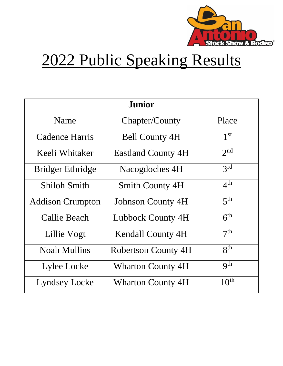

## 2022 Public Speaking Results

| <b>Junior</b>           |                            |                  |  |
|-------------------------|----------------------------|------------------|--|
| Name                    | Chapter/County             | Place            |  |
| Cadence Harris          | <b>Bell County 4H</b>      | 1 <sup>st</sup>  |  |
| Keeli Whitaker          | <b>Eastland County 4H</b>  | 2 <sub>nd</sub>  |  |
| <b>Bridger Ethridge</b> | Nacogdoches 4H             | 3 <sup>rd</sup>  |  |
| <b>Shiloh Smith</b>     | <b>Smith County 4H</b>     | 4 <sup>th</sup>  |  |
| <b>Addison Crumpton</b> | <b>Johnson County 4H</b>   | 5 <sup>th</sup>  |  |
| Callie Beach            | Lubbock County 4H          | 6 <sup>th</sup>  |  |
| Lillie Vogt             | <b>Kendall County 4H</b>   | 7 <sup>th</sup>  |  |
| <b>Noah Mullins</b>     | <b>Robertson County 4H</b> | 8 <sup>th</sup>  |  |
| Lylee Locke             | <b>Wharton County 4H</b>   | Q <sup>th</sup>  |  |
| Lyndsey Locke           | <b>Wharton County 4H</b>   | 10 <sup>th</sup> |  |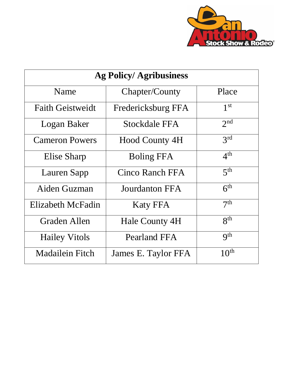

| <b>Ag Policy/Agribusiness</b> |                       |                  |  |
|-------------------------------|-----------------------|------------------|--|
| Name                          | Chapter/County        | Place            |  |
| <b>Faith Geistweidt</b>       | Fredericksburg FFA    | 1 <sup>st</sup>  |  |
| Logan Baker                   | Stockdale FFA         | 2 <sub>nd</sub>  |  |
| <b>Cameron Powers</b>         | <b>Hood County 4H</b> | 2rd              |  |
| Elise Sharp                   | <b>Boling FFA</b>     | 4 <sup>th</sup>  |  |
| Lauren Sapp                   | Cinco Ranch FFA       | 5 <sup>th</sup>  |  |
| Aiden Guzman                  | Jourdanton FFA        | 6 <sup>th</sup>  |  |
| Elizabeth McFadin             | <b>Katy FFA</b>       | 7 <sup>th</sup>  |  |
| Graden Allen                  | Hale County 4H        | 8 <sup>th</sup>  |  |
| <b>Hailey Vitols</b>          | Pearland FFA          | q <sup>th</sup>  |  |
| <b>Madailein Fitch</b>        | James E. Taylor FFA   | 10 <sup>th</sup> |  |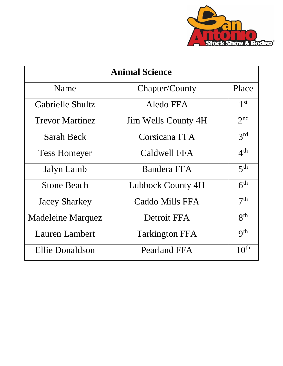

| <b>Animal Science</b>    |                            |                  |  |
|--------------------------|----------------------------|------------------|--|
| Name                     | Chapter/County             | Place            |  |
| Gabrielle Shultz         | Aledo FFA                  | 1 <sup>st</sup>  |  |
| <b>Trevor Martinez</b>   | <b>Jim Wells County 4H</b> | 2 <sub>nd</sub>  |  |
| Sarah Beck               | Corsicana FFA              | 3 <sup>rd</sup>  |  |
| <b>Tess Homeyer</b>      | Caldwell FFA               | 4 <sup>th</sup>  |  |
| Jalyn Lamb               | Bandera FFA                | 5 <sup>th</sup>  |  |
| <b>Stone Beach</b>       | Lubbock County 4H          | 6 <sup>th</sup>  |  |
| <b>Jacey Sharkey</b>     | Caddo Mills FFA            | 7 <sup>th</sup>  |  |
| <b>Madeleine Marquez</b> | Detroit FFA                | $R^{th}$         |  |
| Lauren Lambert           | <b>Tarkington FFA</b>      | Q <sup>th</sup>  |  |
| Ellie Donaldson          | Pearland FFA               | 10 <sup>th</sup> |  |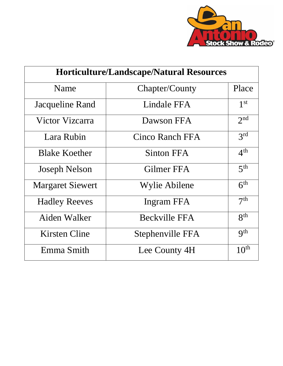

| <b>Horticulture/Landscape/Natural Resources</b> |                        |                  |
|-------------------------------------------------|------------------------|------------------|
| Name                                            | Chapter/County         | Place            |
| Jacqueline Rand                                 | Lindale FFA            | 1 <sup>st</sup>  |
| Victor Vizcarra                                 | Dawson FFA             | 2 <sup>nd</sup>  |
| Lara Rubin                                      | <b>Cinco Ranch FFA</b> | 3 <sup>rd</sup>  |
| <b>Blake Koether</b>                            | Sinton FFA             | 4 <sup>th</sup>  |
| <b>Joseph Nelson</b>                            | Gilmer FFA             | 5 <sup>th</sup>  |
| <b>Margaret Siewert</b>                         | Wylie Abilene          | 6 <sup>th</sup>  |
| <b>Hadley Reeves</b>                            | Ingram FFA             | 7 <sup>th</sup>  |
| Aiden Walker                                    | <b>Beckville FFA</b>   | $R^{th}$         |
| Kirsten Cline                                   | Stephenville FFA       | Q <sup>th</sup>  |
| Emma Smith                                      | Lee County 4H          | 10 <sup>th</sup> |